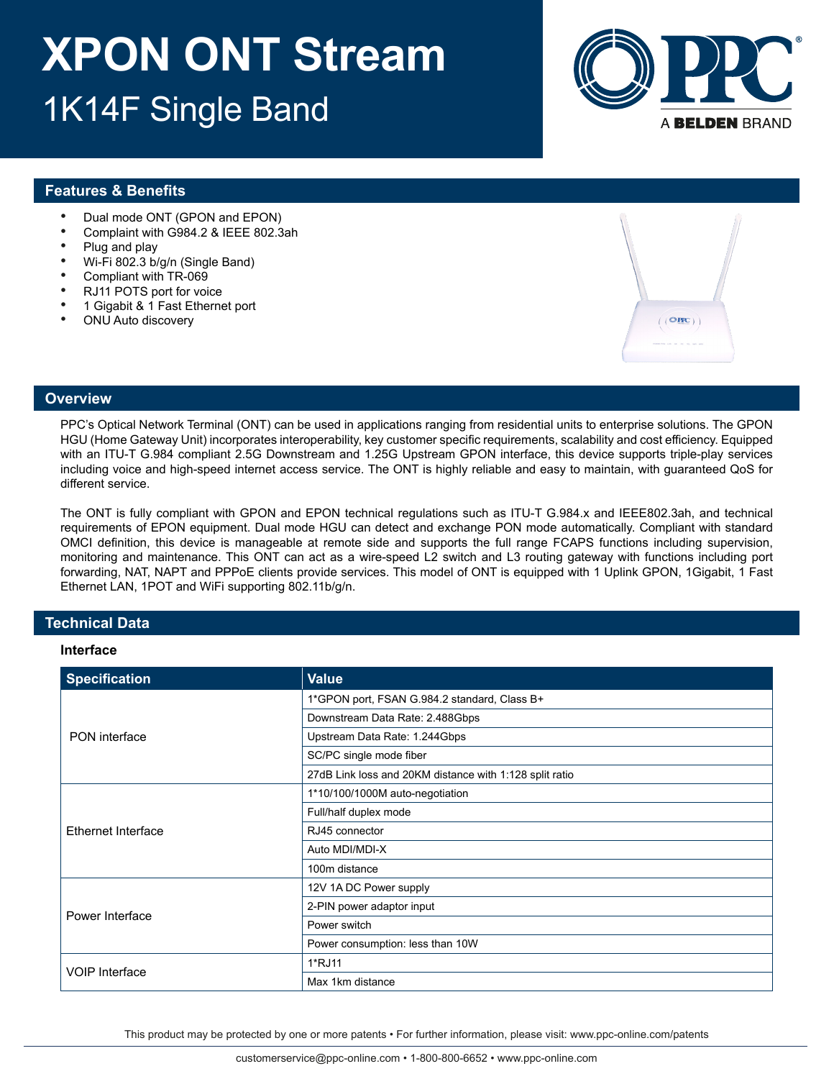

### **Features & Benefits**

- Dual mode ONT (GPON and EPON)
- Complaint with G984.2 & IEEE 802.3ah
- Plug and play<br>•  $W_1 \to 902.3 \, h$
- Wi-Fi 802.3 b/g/n (Single Band)
- Compliant with TR-069<br>• P 111 POTS port for you
- RJ11 POTS port for voice
- 1 Gigabit & 1 Fast Ethernet port
- ONU Auto discovery



#### **Overview**

PPC's Optical Network Terminal (ONT) can be used in applications ranging from residential units to enterprise solutions. The GPON HGU (Home Gateway Unit) incorporates interoperability, key customer specific requirements, scalability and cost efficiency. Equipped with an ITU-T G.984 compliant 2.5G Downstream and 1.25G Upstream GPON interface, this device supports triple-play services including voice and high-speed internet access service. The ONT is highly reliable and easy to maintain, with guaranteed QoS for different service.

The ONT is fully compliant with GPON and EPON technical regulations such as ITU-T G.984.x and IEEE802.3ah, and technical requirements of EPON equipment. Dual mode HGU can detect and exchange PON mode automatically. Compliant with standard OMCI definition, this device is manageable at remote side and supports the full range FCAPS functions including supervision, monitoring and maintenance. This ONT can act as a wire-speed L2 switch and L3 routing gateway with functions including port forwarding, NAT, NAPT and PPPoE clients provide services. This model of ONT is equipped with 1 Uplink GPON, 1Gigabit, 1 Fast Ethernet LAN, 1POT and WiFi supporting 802.11b/g/n.

### **Technical Data**

#### **Interface**

| <b>Specification</b>  | <b>Value</b>                                            |
|-----------------------|---------------------------------------------------------|
| <b>PON</b> interface  | 1*GPON port, FSAN G.984.2 standard, Class B+            |
|                       | Downstream Data Rate: 2.488Gbps                         |
|                       | Upstream Data Rate: 1.244Gbps                           |
|                       | SC/PC single mode fiber                                 |
|                       | 27dB Link loss and 20KM distance with 1:128 split ratio |
| Ethernet Interface    | 1*10/100/1000M auto-negotiation                         |
|                       | Full/half duplex mode                                   |
|                       | RJ45 connector                                          |
|                       | Auto MDI/MDI-X                                          |
|                       | 100m distance                                           |
| Power Interface       | 12V 1A DC Power supply                                  |
|                       | 2-PIN power adaptor input                               |
|                       | Power switch                                            |
|                       | Power consumption: less than 10W                        |
| <b>VOIP Interface</b> | 1*RJ11                                                  |
|                       | Max 1km distance                                        |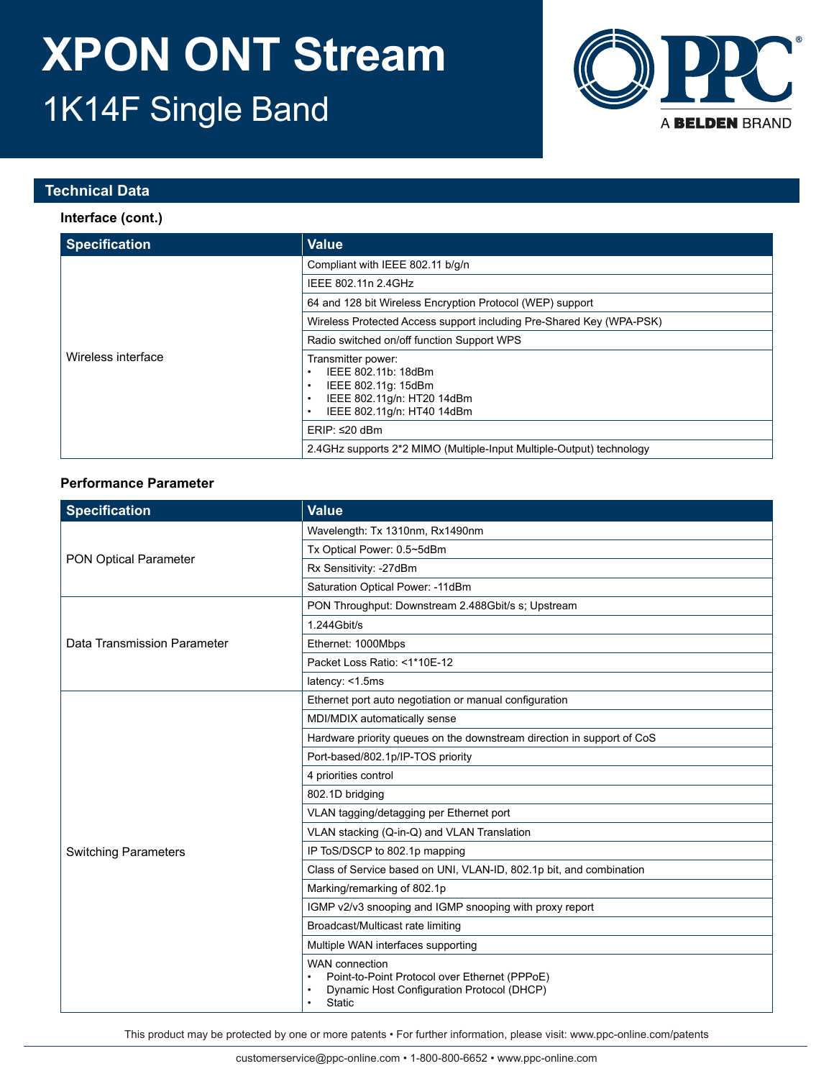

### **Technical Data**

### **Interface (cont.)**

| <b>Specification</b> | <b>Value</b>                                                                                                                 |
|----------------------|------------------------------------------------------------------------------------------------------------------------------|
|                      | Compliant with IEEE 802.11 b/g/n                                                                                             |
|                      | IEEE 802.11n 2.4GHz                                                                                                          |
|                      | 64 and 128 bit Wireless Encryption Protocol (WEP) support                                                                    |
|                      | Wireless Protected Access support including Pre-Shared Key (WPA-PSK)                                                         |
|                      | Radio switched on/off function Support WPS                                                                                   |
| Wireless interface   | Transmitter power:<br>IEEE 802.11b: 18dBm<br>IEEE 802.11g: 15dBm<br>IEEE 802.11g/n: HT20 14dBm<br>IEEE 802.11g/n: HT40 14dBm |
|                      | ERIP: ≤20 dBm                                                                                                                |
|                      | 2.4GHz supports 2*2 MIMO (Multiple-Input Multiple-Output) technology                                                         |

### **Performance Parameter**

| <b>Specification</b>         | Value                                                                                                                                 |
|------------------------------|---------------------------------------------------------------------------------------------------------------------------------------|
| <b>PON Optical Parameter</b> | Wavelength: Tx 1310nm, Rx1490nm                                                                                                       |
|                              | Tx Optical Power: 0.5~5dBm                                                                                                            |
|                              | Rx Sensitivity: -27dBm                                                                                                                |
|                              | Saturation Optical Power: -11dBm                                                                                                      |
|                              | PON Throughput: Downstream 2.488Gbit/s s; Upstream                                                                                    |
|                              | 1.244 Gbit/s                                                                                                                          |
| Data Transmission Parameter  | Ethernet: 1000Mbps                                                                                                                    |
|                              | Packet Loss Ratio: <1*10E-12                                                                                                          |
|                              | latency: <1.5ms                                                                                                                       |
|                              | Ethernet port auto negotiation or manual configuration                                                                                |
|                              | MDI/MDIX automatically sense                                                                                                          |
|                              | Hardware priority queues on the downstream direction in support of CoS                                                                |
|                              | Port-based/802.1p/IP-TOS priority                                                                                                     |
|                              | 4 priorities control                                                                                                                  |
|                              | 802.1D bridging                                                                                                                       |
|                              | VLAN tagging/detagging per Ethernet port                                                                                              |
|                              | VLAN stacking (Q-in-Q) and VLAN Translation                                                                                           |
| <b>Switching Parameters</b>  | IP ToS/DSCP to 802.1p mapping                                                                                                         |
|                              | Class of Service based on UNI, VLAN-ID, 802.1p bit, and combination                                                                   |
|                              | Marking/remarking of 802.1p                                                                                                           |
|                              | IGMP v2/v3 snooping and IGMP snooping with proxy report                                                                               |
|                              | Broadcast/Multicast rate limiting                                                                                                     |
|                              | Multiple WAN interfaces supporting                                                                                                    |
|                              | <b>WAN</b> connection<br>Point-to-Point Protocol over Ethernet (PPPoE)<br>Dynamic Host Configuration Protocol (DHCP)<br><b>Static</b> |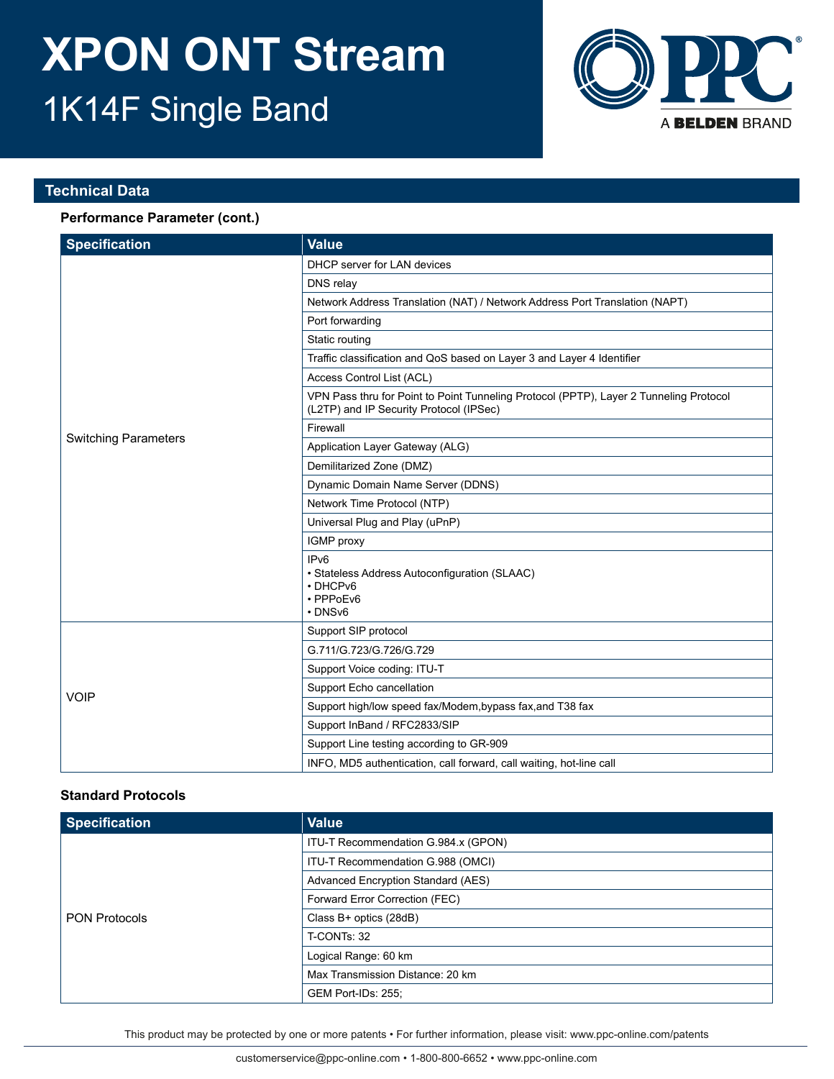

### **Technical Data**

### **Performance Parameter (cont.)**

| <b>Specification</b>        | Value                                                                                                                             |
|-----------------------------|-----------------------------------------------------------------------------------------------------------------------------------|
|                             | DHCP server for LAN devices                                                                                                       |
|                             | DNS relay                                                                                                                         |
|                             | Network Address Translation (NAT) / Network Address Port Translation (NAPT)                                                       |
|                             | Port forwarding                                                                                                                   |
|                             | Static routing                                                                                                                    |
|                             | Traffic classification and QoS based on Layer 3 and Layer 4 Identifier                                                            |
|                             | Access Control List (ACL)                                                                                                         |
|                             | VPN Pass thru for Point to Point Tunneling Protocol (PPTP), Layer 2 Tunneling Protocol<br>(L2TP) and IP Security Protocol (IPSec) |
|                             | Firewall                                                                                                                          |
| <b>Switching Parameters</b> | Application Layer Gateway (ALG)                                                                                                   |
|                             | Demilitarized Zone (DMZ)                                                                                                          |
|                             | Dynamic Domain Name Server (DDNS)                                                                                                 |
|                             | Network Time Protocol (NTP)                                                                                                       |
|                             | Universal Plug and Play (uPnP)                                                                                                    |
|                             | IGMP proxy                                                                                                                        |
|                             | IP <sub>v6</sub><br>• Stateless Address Autoconfiguration (SLAAC)<br>• DHCPv6<br>· PPPoEv6<br>$\cdot$ DNS <sub>v6</sub>           |
|                             | Support SIP protocol                                                                                                              |
| <b>VOIP</b>                 | G.711/G.723/G.726/G.729                                                                                                           |
|                             | Support Voice coding: ITU-T                                                                                                       |
|                             | Support Echo cancellation                                                                                                         |
|                             | Support high/low speed fax/Modem, bypass fax, and T38 fax                                                                         |
|                             | Support InBand / RFC2833/SIP                                                                                                      |
|                             | Support Line testing according to GR-909                                                                                          |
|                             | INFO, MD5 authentication, call forward, call waiting, hot-line call                                                               |

### **Standard Protocols**

| <b>Specification</b> | <b>Value</b>                        |
|----------------------|-------------------------------------|
| <b>PON Protocols</b> | ITU-T Recommendation G.984.x (GPON) |
|                      | ITU-T Recommendation G.988 (OMCI)   |
|                      | Advanced Encryption Standard (AES)  |
|                      | Forward Error Correction (FEC)      |
|                      | Class B+ optics (28dB)              |
|                      | T-CONTs: 32                         |
|                      | Logical Range: 60 km                |
|                      | Max Transmission Distance: 20 km    |
|                      | GEM Port-IDs: 255;                  |